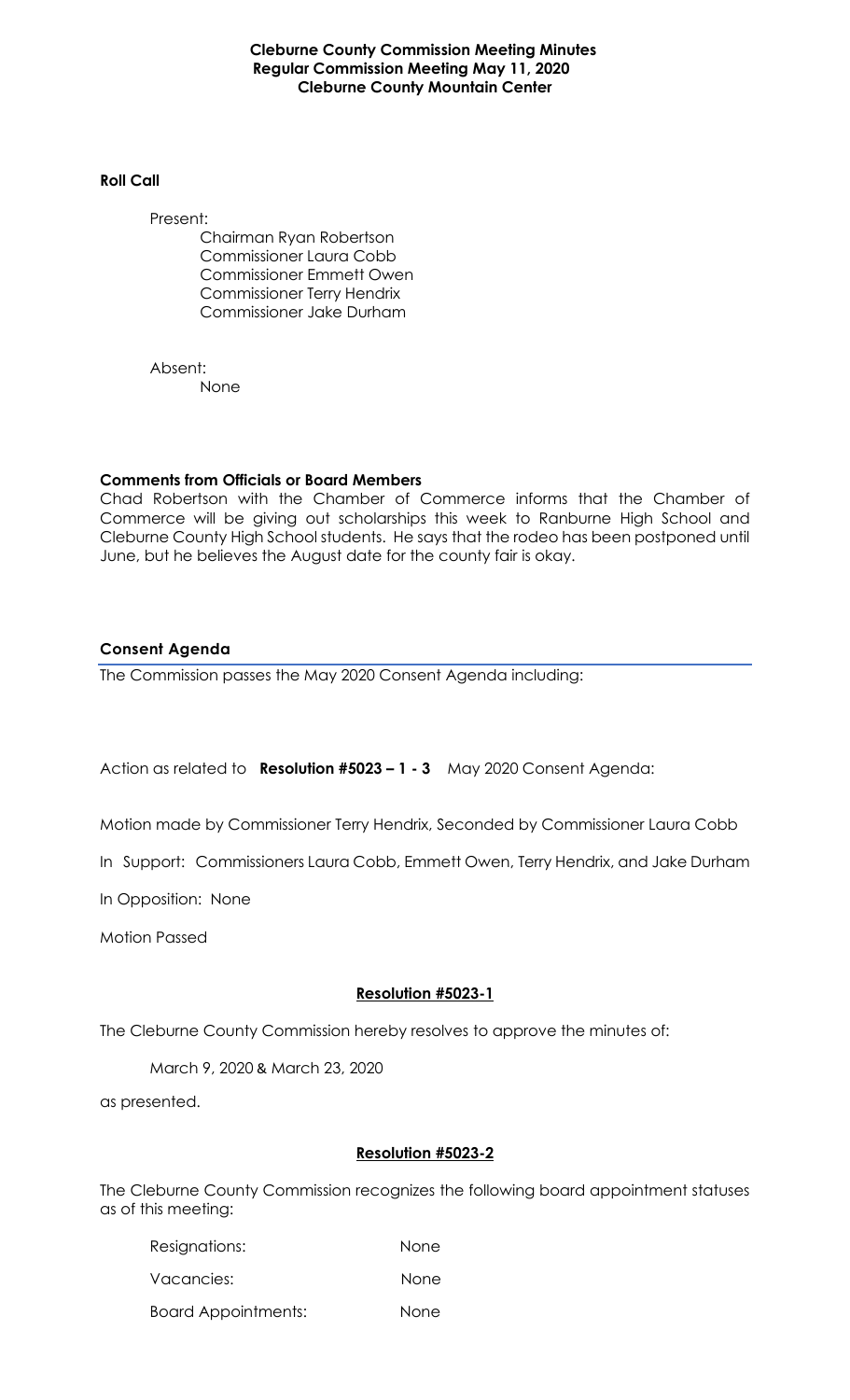**Cleburne County Commission Meeting Minutes Regular Commission Meeting May 11, 2020 Cleburne County Mountain Center**

## **Roll Call**

Present: Chairman Ryan Robertson Commissioner Laura Cobb Commissioner Emmett Owen Commissioner Terry Hendrix Commissioner Jake Durham

Absent: None

## **Comments from Officials or Board Members**

Chad Robertson with the Chamber of Commerce informs that the Chamber of Commerce will be giving out scholarships this week to Ranburne High School and Cleburne County High School students. He says that the rodeo has been postponed until June, but he believes the August date for the county fair is okay.

## **Consent Agenda**

The Commission passes the May 2020 Consent Agenda including:

Action as related to **Resolution #5023 – 1 - 3** May 2020 Consent Agenda:

Motion made by Commissioner Terry Hendrix, Seconded by Commissioner Laura Cobb

In Support: Commissioners Laura Cobb, Emmett Owen, Terry Hendrix, and Jake Durham

In Opposition: None

Motion Passed

# **Resolution #5023-1**

The Cleburne County Commission hereby resolves to approve the minutes of:

March 9, 2020 & March 23, 2020

as presented.

### **Resolution #5023-2**

The Cleburne County Commission recognizes the following board appointment statuses as of this meeting:

| Resignations:              | None        |
|----------------------------|-------------|
| Vacancies:                 | <b>None</b> |
| <b>Board Appointments:</b> | None        |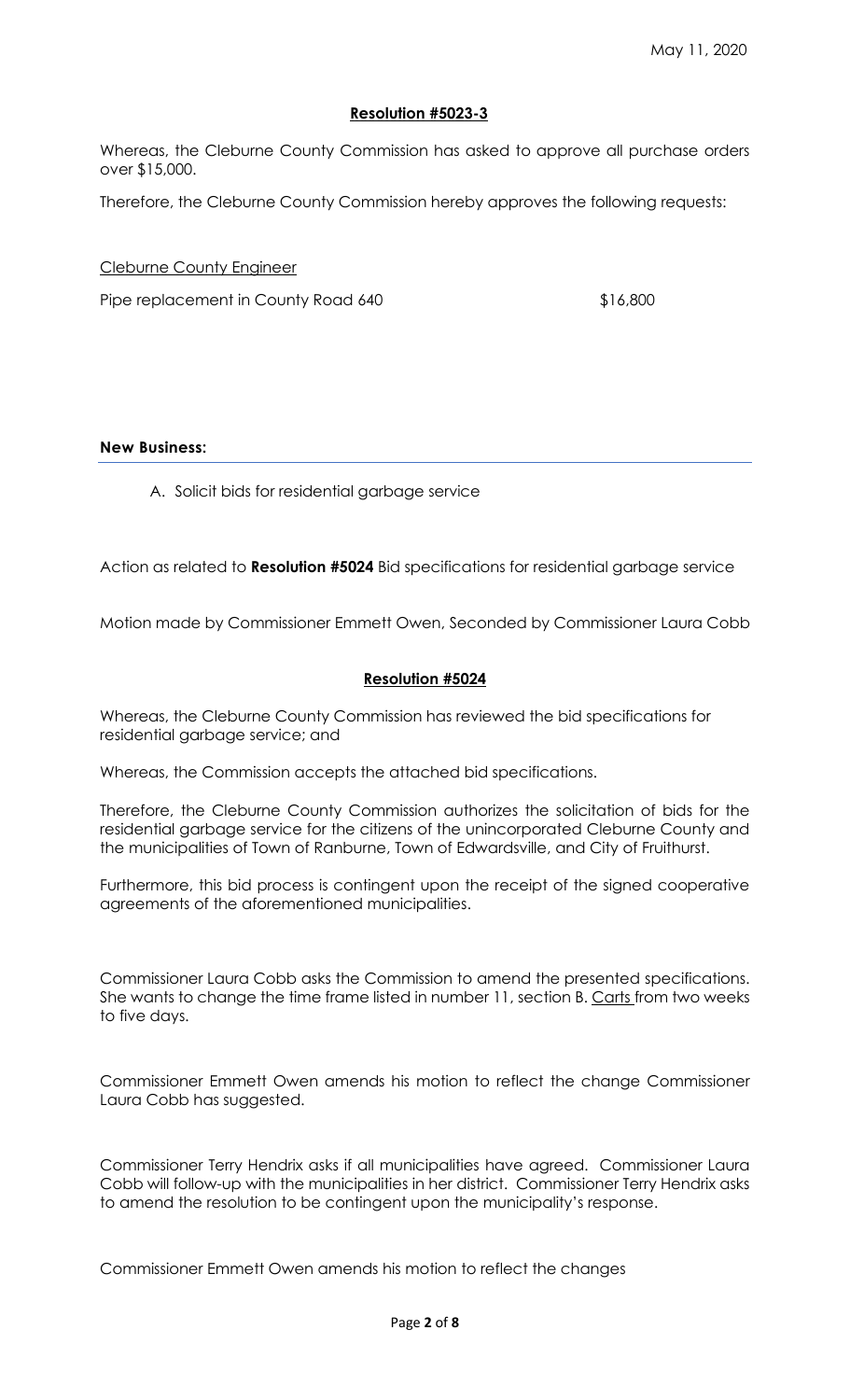# **Resolution #5023-3**

Whereas, the Cleburne County Commission has asked to approve all purchase orders over \$15,000.

Therefore, the Cleburne County Commission hereby approves the following requests:

Cleburne County Engineer

Pipe replacement in County Road 640 \$16,800

## **New Business:**

A. Solicit bids for residential garbage service

Action as related to **Resolution #5024** Bid specifications for residential garbage service

Motion made by Commissioner Emmett Owen, Seconded by Commissioner Laura Cobb

## **Resolution #5024**

Whereas, the Cleburne County Commission has reviewed the bid specifications for residential garbage service; and

Whereas, the Commission accepts the attached bid specifications.

Therefore, the Cleburne County Commission authorizes the solicitation of bids for the residential garbage service for the citizens of the unincorporated Cleburne County and the municipalities of Town of Ranburne, Town of Edwardsville, and City of Fruithurst.

Furthermore, this bid process is contingent upon the receipt of the signed cooperative agreements of the aforementioned municipalities.

Commissioner Laura Cobb asks the Commission to amend the presented specifications. She wants to change the time frame listed in number 11, section B. Carts from two weeks to five days.

Commissioner Emmett Owen amends his motion to reflect the change Commissioner Laura Cobb has suggested.

Commissioner Terry Hendrix asks if all municipalities have agreed. Commissioner Laura Cobb will follow-up with the municipalities in her district. Commissioner Terry Hendrix asks to amend the resolution to be contingent upon the municipality's response.

Commissioner Emmett Owen amends his motion to reflect the changes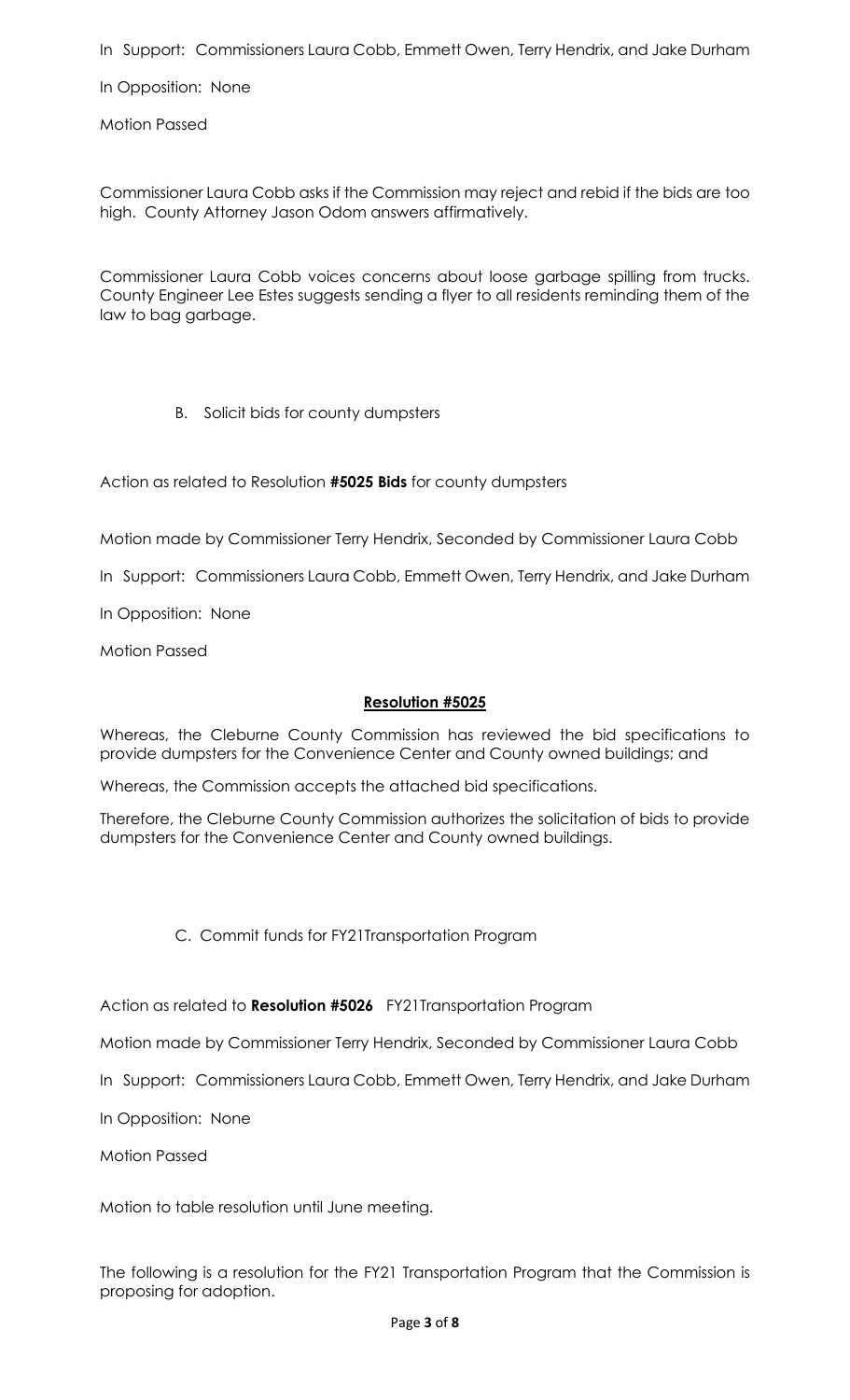In Support: Commissioners Laura Cobb, Emmett Owen, Terry Hendrix, and Jake Durham

In Opposition: None

Motion Passed

Commissioner Laura Cobb asks if the Commission may reject and rebid if the bids are too high. County Attorney Jason Odom answers affirmatively.

Commissioner Laura Cobb voices concerns about loose garbage spilling from trucks. County Engineer Lee Estes suggests sending a flyer to all residents reminding them of the law to bag garbage.

B. Solicit bids for county dumpsters

Action as related to Resolution **#5025 Bids** for county dumpsters

Motion made by Commissioner Terry Hendrix, Seconded by Commissioner Laura Cobb

In Support: Commissioners Laura Cobb, Emmett Owen, Terry Hendrix, and Jake Durham

In Opposition: None

Motion Passed

### **Resolution #5025**

Whereas, the Cleburne County Commission has reviewed the bid specifications to provide dumpsters for the Convenience Center and County owned buildings; and

Whereas, the Commission accepts the attached bid specifications.

Therefore, the Cleburne County Commission authorizes the solicitation of bids to provide dumpsters for the Convenience Center and County owned buildings.

C. Commit funds for FY21Transportation Program

Action as related to **Resolution #5026** FY21Transportation Program

Motion made by Commissioner Terry Hendrix, Seconded by Commissioner Laura Cobb

In Support: Commissioners Laura Cobb, Emmett Owen, Terry Hendrix, and Jake Durham

In Opposition: None

Motion Passed

Motion to table resolution until June meeting.

The following is a resolution for the FY21 Transportation Program that the Commission is proposing for adoption.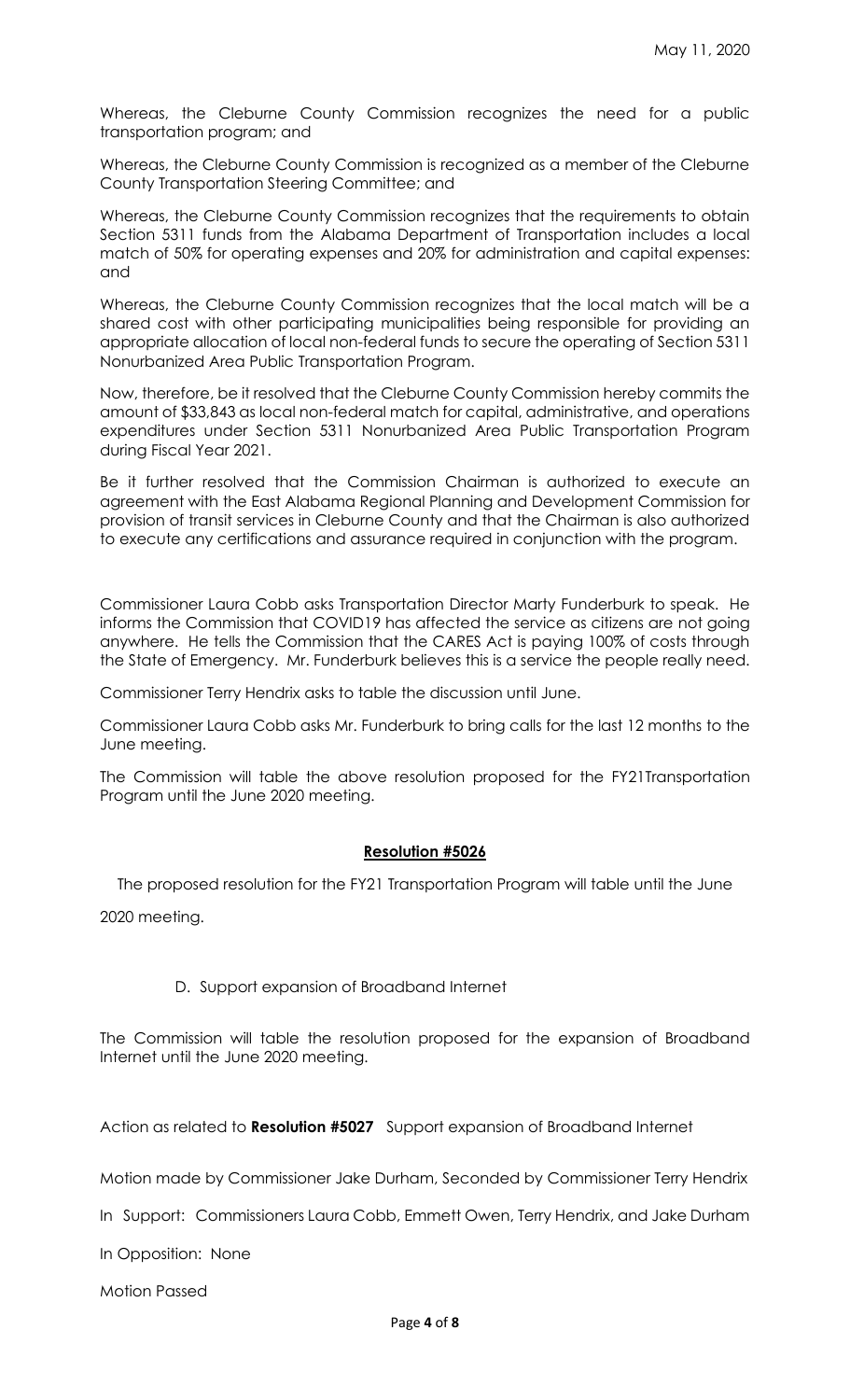Whereas, the Cleburne County Commission recognizes the need for a public transportation program; and

Whereas, the Cleburne County Commission is recognized as a member of the Cleburne County Transportation Steering Committee; and

Whereas, the Cleburne County Commission recognizes that the requirements to obtain Section 5311 funds from the Alabama Department of Transportation includes a local match of 50% for operating expenses and 20% for administration and capital expenses: and

Whereas, the Cleburne County Commission recognizes that the local match will be a shared cost with other participating municipalities being responsible for providing an appropriate allocation of local non-federal funds to secure the operating of Section 5311 Nonurbanized Area Public Transportation Program.

Now, therefore, be it resolved that the Cleburne County Commission hereby commits the amount of \$33,843 as local non-federal match for capital, administrative, and operations expenditures under Section 5311 Nonurbanized Area Public Transportation Program during Fiscal Year 2021.

Be it further resolved that the Commission Chairman is authorized to execute an agreement with the East Alabama Regional Planning and Development Commission for provision of transit services in Cleburne County and that the Chairman is also authorized to execute any certifications and assurance required in conjunction with the program.

Commissioner Laura Cobb asks Transportation Director Marty Funderburk to speak. He informs the Commission that COVID19 has affected the service as citizens are not going anywhere. He tells the Commission that the CARES Act is paying 100% of costs through the State of Emergency. Mr. Funderburk believes this is a service the people really need.

Commissioner Terry Hendrix asks to table the discussion until June.

Commissioner Laura Cobb asks Mr. Funderburk to bring calls for the last 12 months to the June meeting.

The Commission will table the above resolution proposed for the FY21Transportation Program until the June 2020 meeting.

### **Resolution #5026**

The proposed resolution for the FY21 Transportation Program will table until the June

2020 meeting.

### D. Support expansion of Broadband Internet

The Commission will table the resolution proposed for the expansion of Broadband Internet until the June 2020 meeting.

Action as related to **Resolution #5027** Support expansion of Broadband Internet

Motion made by Commissioner Jake Durham, Seconded by Commissioner Terry Hendrix

In Support: Commissioners Laura Cobb, Emmett Owen, Terry Hendrix, and Jake Durham

In Opposition: None

Motion Passed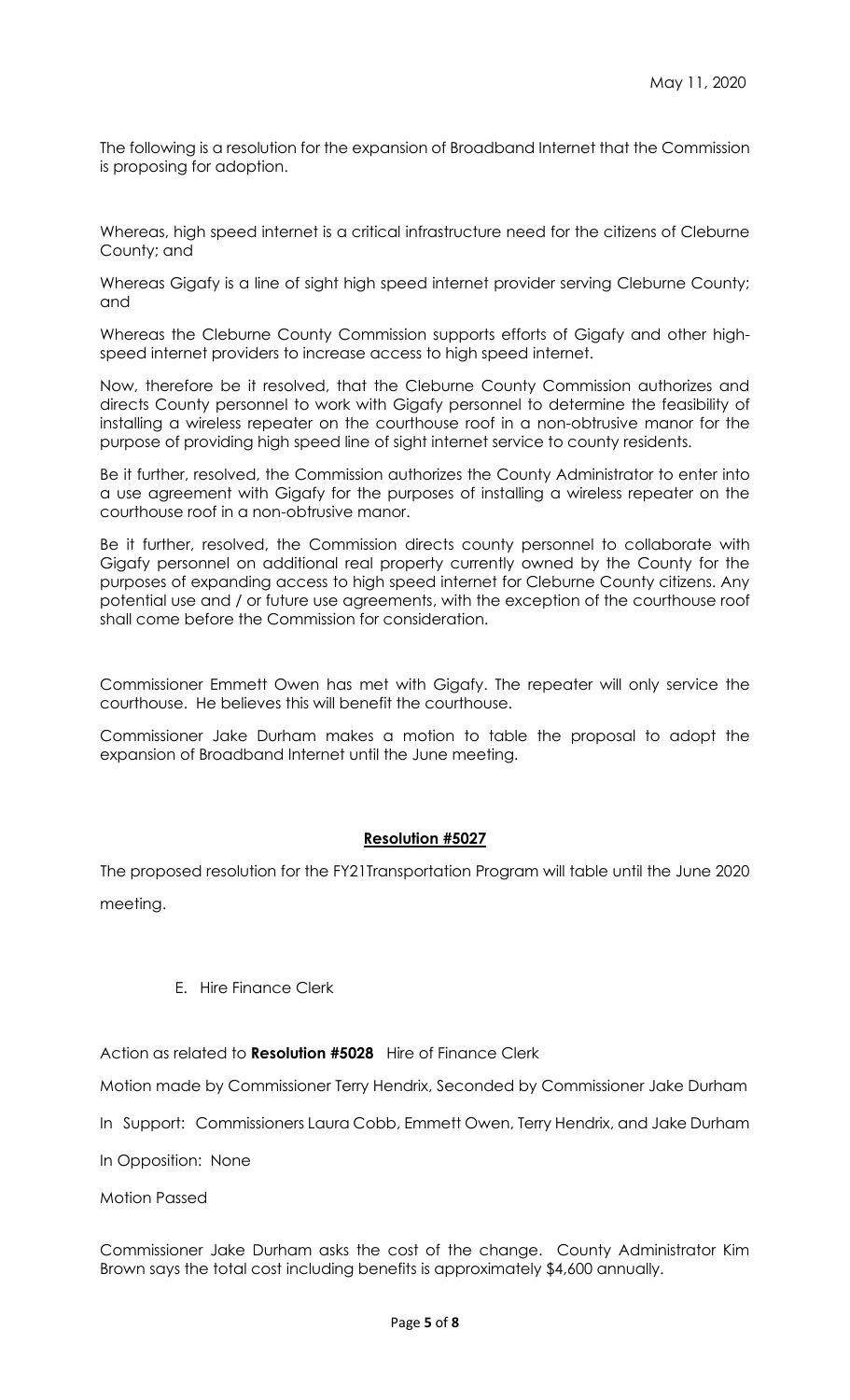The following is a resolution for the expansion of Broadband Internet that the Commission is proposing for adoption.

Whereas, high speed internet is a critical infrastructure need for the citizens of Cleburne County; and

Whereas Gigafy is a line of sight high speed internet provider serving Cleburne County; and

Whereas the Cleburne County Commission supports efforts of Gigafy and other highspeed internet providers to increase access to high speed internet.

Now, therefore be it resolved, that the Cleburne County Commission authorizes and directs County personnel to work with Gigafy personnel to determine the feasibility of installing a wireless repeater on the courthouse roof in a non-obtrusive manor for the purpose of providing high speed line of sight internet service to county residents.

Be it further, resolved, the Commission authorizes the County Administrator to enter into a use agreement with Gigafy for the purposes of installing a wireless repeater on the courthouse roof in a non-obtrusive manor.

Be it further, resolved, the Commission directs county personnel to collaborate with Gigafy personnel on additional real property currently owned by the County for the purposes of expanding access to high speed internet for Cleburne County citizens. Any potential use and / or future use agreements, with the exception of the courthouse roof shall come before the Commission for consideration.

Commissioner Emmett Owen has met with Gigafy. The repeater will only service the courthouse. He believes this will benefit the courthouse.

Commissioner Jake Durham makes a motion to table the proposal to adopt the expansion of Broadband Internet until the June meeting.

### **Resolution #5027**

The proposed resolution for the FY21Transportation Program will table until the June 2020

meeting.

### E. Hire Finance Clerk

Action as related to **Resolution #5028** Hire of Finance Clerk

Motion made by Commissioner Terry Hendrix, Seconded by Commissioner Jake Durham

In Support: Commissioners Laura Cobb, Emmett Owen, Terry Hendrix, and Jake Durham

In Opposition: None

Motion Passed

Commissioner Jake Durham asks the cost of the change. County Administrator Kim Brown says the total cost including benefits is approximately \$4,600 annually.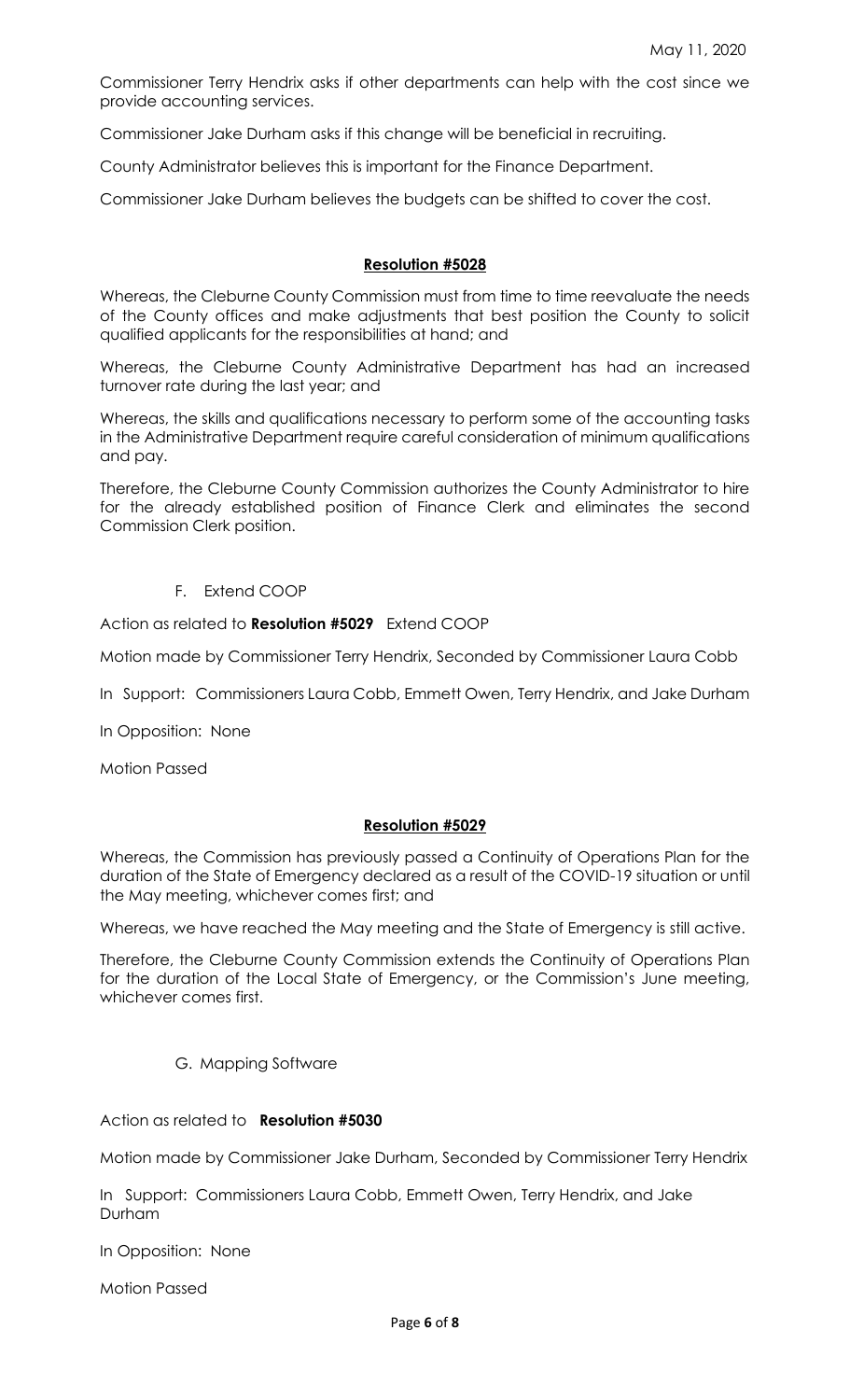Commissioner Terry Hendrix asks if other departments can help with the cost since we provide accounting services.

Commissioner Jake Durham asks if this change will be beneficial in recruiting.

County Administrator believes this is important for the Finance Department.

Commissioner Jake Durham believes the budgets can be shifted to cover the cost.

#### **Resolution #5028**

Whereas, the Cleburne County Commission must from time to time reevaluate the needs of the County offices and make adjustments that best position the County to solicit qualified applicants for the responsibilities at hand; and

Whereas, the Cleburne County Administrative Department has had an increased turnover rate during the last year; and

Whereas, the skills and qualifications necessary to perform some of the accounting tasks in the Administrative Department require careful consideration of minimum qualifications and pay.

Therefore, the Cleburne County Commission authorizes the County Administrator to hire for the already established position of Finance Clerk and eliminates the second Commission Clerk position.

### F. Extend COOP

Action as related to **Resolution #5029** Extend COOP

Motion made by Commissioner Terry Hendrix, Seconded by Commissioner Laura Cobb

In Support: Commissioners Laura Cobb, Emmett Owen, Terry Hendrix, and Jake Durham

In Opposition: None

Motion Passed

#### **Resolution #5029**

Whereas, the Commission has previously passed a Continuity of Operations Plan for the duration of the State of Emergency declared as a result of the COVID-19 situation or until the May meeting, whichever comes first; and

Whereas, we have reached the May meeting and the State of Emergency is still active.

Therefore, the Cleburne County Commission extends the Continuity of Operations Plan for the duration of the Local State of Emergency, or the Commission's June meeting, whichever comes first.

### G. Mapping Software

Action as related to **Resolution #5030** 

Motion made by Commissioner Jake Durham, Seconded by Commissioner Terry Hendrix

In Support: Commissioners Laura Cobb, Emmett Owen, Terry Hendrix, and Jake Durham

In Opposition: None

Motion Passed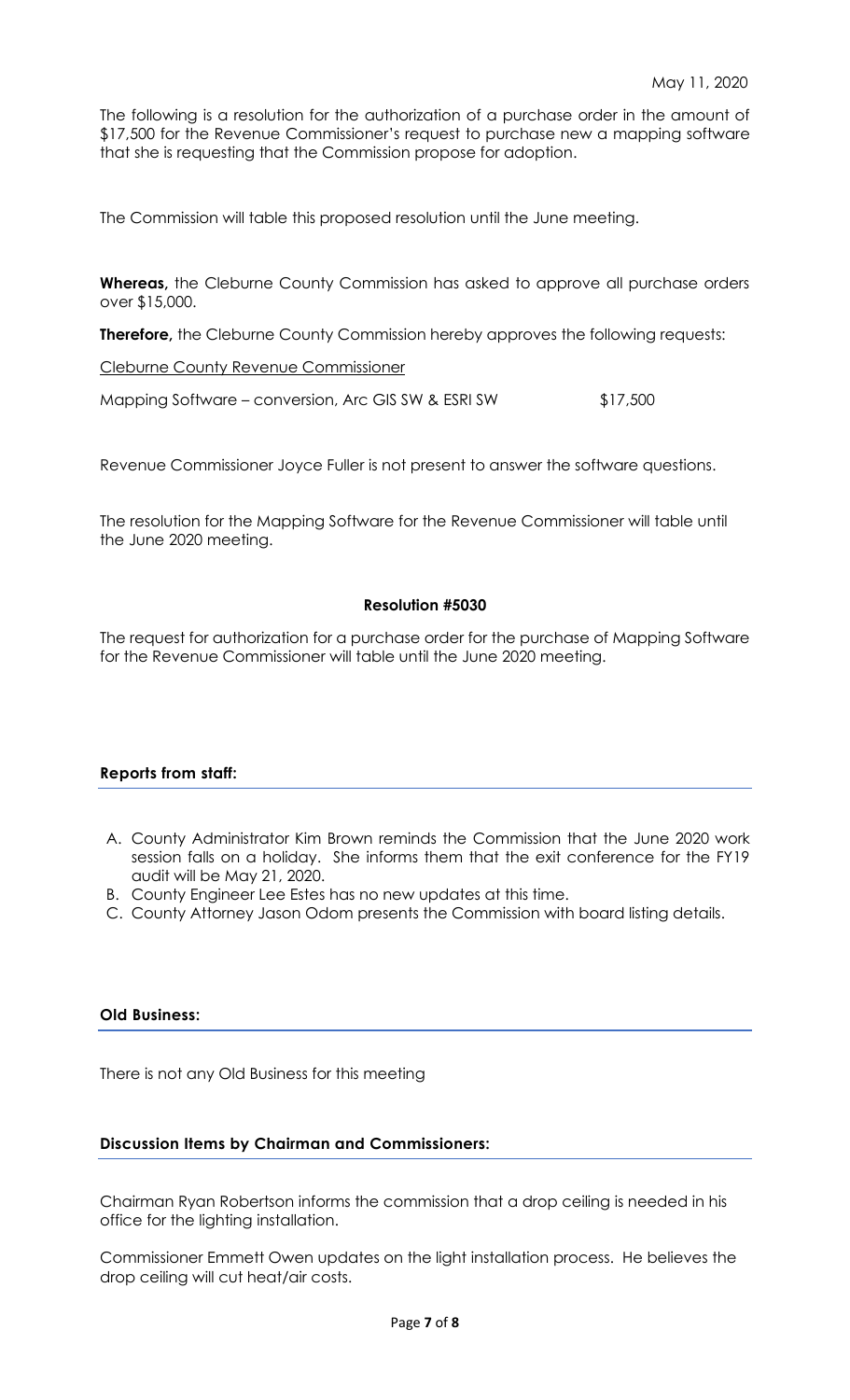The following is a resolution for the authorization of a purchase order in the amount of \$17,500 for the Revenue Commissioner's request to purchase new a mapping software that she is requesting that the Commission propose for adoption.

The Commission will table this proposed resolution until the June meeting.

**Whereas,** the Cleburne County Commission has asked to approve all purchase orders over \$15,000.

**Therefore,** the Cleburne County Commission hereby approves the following requests:

Cleburne County Revenue Commissioner

Mapping Software – conversion, Arc GIS SW & ESRI SW  $$17,500$ 

Revenue Commissioner Joyce Fuller is not present to answer the software questions.

The resolution for the Mapping Software for the Revenue Commissioner will table until the June 2020 meeting.

#### **Resolution #5030**

The request for authorization for a purchase order for the purchase of Mapping Software for the Revenue Commissioner will table until the June 2020 meeting.

### **Reports from staff:**

- A. County Administrator Kim Brown reminds the Commission that the June 2020 work session falls on a holiday. She informs them that the exit conference for the FY19 audit will be May 21, 2020.
- B. County Engineer Lee Estes has no new updates at this time.
- C. County Attorney Jason Odom presents the Commission with board listing details.

### **Old Business:**

There is not any Old Business for this meeting

### **Discussion Items by Chairman and Commissioners:**

Chairman Ryan Robertson informs the commission that a drop ceiling is needed in his office for the lighting installation.

Commissioner Emmett Owen updates on the light installation process. He believes the drop ceiling will cut heat/air costs.